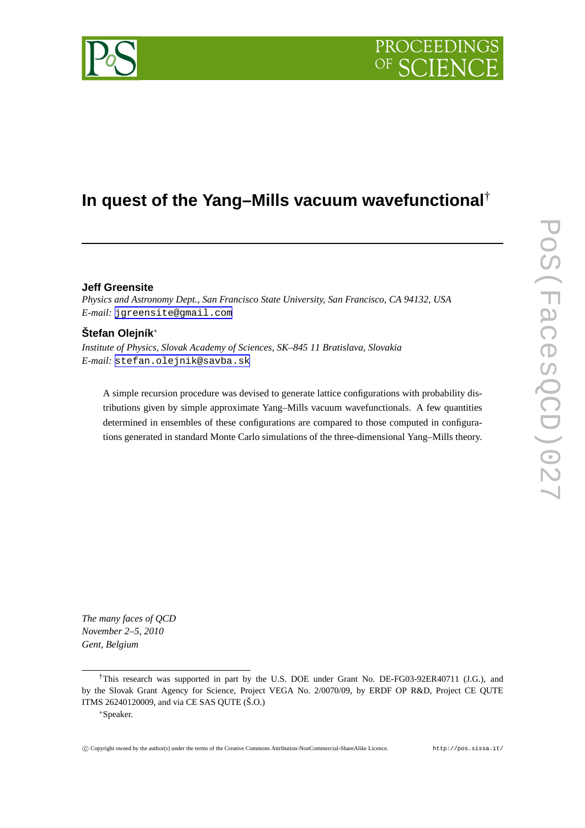

# **In quest of the Yang–Mills vacuum wavefunctional**†

# **Jeff Greensite**

*Physics and Astronomy Dept., San Francisco State University, San Francisco, CA 94132, USA E-mail:* [jgreensite@gmail.com](mailto:jgreensite@gmail.com)

# **Štefan Olejník**∗

*Institute of Physics, Slovak Academy of Sciences, SK–845 11 Bratislava, Slovakia E-mail:* [stefan.olejnik@savba.sk](mailto:stefan.olejnik@savba.sk)

A simple recursion procedure was devised to generate lattice configurations with probability distributions given by simple approximate Yang–Mills vacuum wavefunctionals. A few quantities determined in ensembles of these configurations are compared to those computed in configurations generated in standard Monte Carlo simulations of the three-dimensional Yang–Mills theory.

*The many faces of QCD November 2–5, 2010 Gent, Belgium*



<sup>†</sup>This research was supported in part by the U.S. DOE under Grant No. DE-FG03-92ER40711 (J.G.), and by the Slovak Grant Agency for Science, Project VEGA No. 2/0070/09, by ERDF OP R&D, Project CE QUTE ITMS 26240120009, and via CE SAS QUTE (Š.O.)

<sup>∗</sup>Speaker.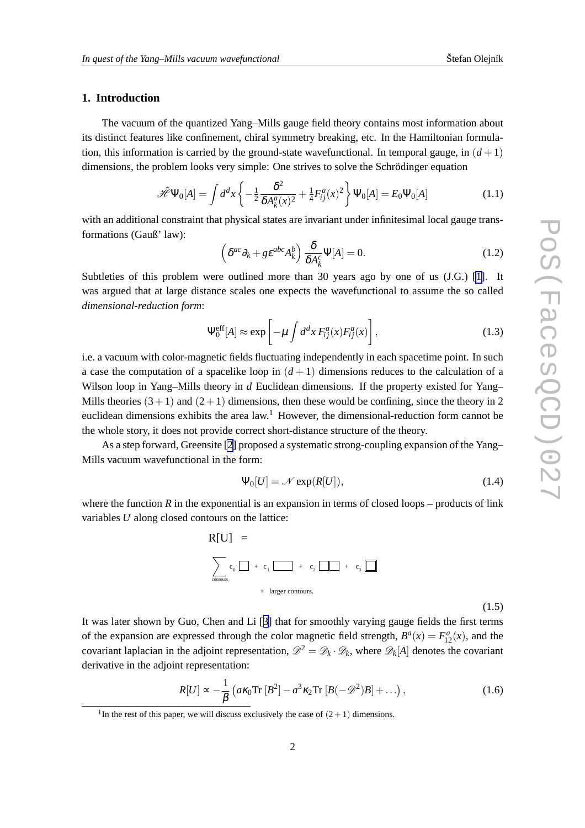# <span id="page-1-0"></span>**1. Introduction**

The vacuum of the quantized Yang–Mills gauge field theory contains most information about its distinct features like confinement, chiral symmetry breaking, etc. In the Hamiltonian formulation, this information is carried by the ground-state wavefunctional. In temporal gauge, in  $(d+1)$ dimensions, the problem looks very simple: One strives to solve the Schrödinger equation

$$
\mathcal{\hat{H}}\Psi_0[A] = \int d^d x \left\{ -\frac{1}{2} \frac{\delta^2}{\delta A_k^a(x)^2} + \frac{1}{4} F_{ij}^a(x)^2 \right\} \Psi_0[A] = E_0 \Psi_0[A] \tag{1.1}
$$

with an additional constraint that physical states are invariant under infinitesimal local gauge transformations (Gauß' law):

$$
\left(\delta^{ac}\partial_k + g\epsilon^{abc}A_k^b\right)\frac{\delta}{\delta A_k^c}\Psi[A] = 0.
$$
\n(1.2)

Subtleties of this problem were outlined more than 30 years ago by one of us (J.G.) [\[1\]](#page-9-0). It was argued that at large distance scales one expects the wavefunctional to assume the so called *dimensional-reduction form*:

$$
\Psi_0^{\text{eff}}[A] \approx \exp\left[-\mu \int d^d x \, F_{ij}^a(x) F_{ij}^a(x)\right],\tag{1.3}
$$

i.e. a vacuum with color-magnetic fields fluctuating independently in each spacetime point. In such a case the computation of a spacelike loop in  $(d+1)$  dimensions reduces to the calculation of a Wilson loop in Yang–Mills theory in *d* Euclidean dimensions. If the property existed for Yang– Mills theories  $(3+1)$  and  $(2+1)$  dimensions, then these would be confining, since the theory in 2 euclidean dimensions exhibits the area  $law<sup>1</sup>$ . However, the dimensional-reduction form cannot be the whole story, it does not provide correct short-distance structure of the theory.

As a step forward, Greensite [\[2\]](#page-9-0) proposed a systematic strong-coupling expansion of the Yang– Mills vacuum wavefunctional in the form:

$$
\Psi_0[U] = \mathcal{N} \exp(R[U]),\tag{1.4}
$$

where the function  $R$  in the exponential is an expansion in terms of closed loops – products of link variables *U* along closed contours on the lattice:



(1.5)

It was later shown by Guo, Chen and Li [[3\]](#page-9-0) that for smoothly varying gauge fields the first terms of the expansion are expressed through the color magnetic field strength,  $B^a(x) = F^a_{12}(x)$ , and the covariant laplacian in the adjoint representation,  $\mathscr{D}^2 = \mathscr{D}_k \cdot \mathscr{D}_k$ , where  $\mathscr{D}_k[A]$  denotes the covariant derivative in the adjoint representation:

$$
R[U] \propto -\frac{1}{\beta} \left( a\kappa_0 \text{Tr} \left[ B^2 \right] - a^3 \kappa_2 \text{Tr} \left[ B(-\mathscr{D}^2) B \right] + \ldots \right),\tag{1.6}
$$

<sup>&</sup>lt;sup>1</sup>In the rest of this paper, we will discuss exclusively the case of  $(2+1)$  dimensions.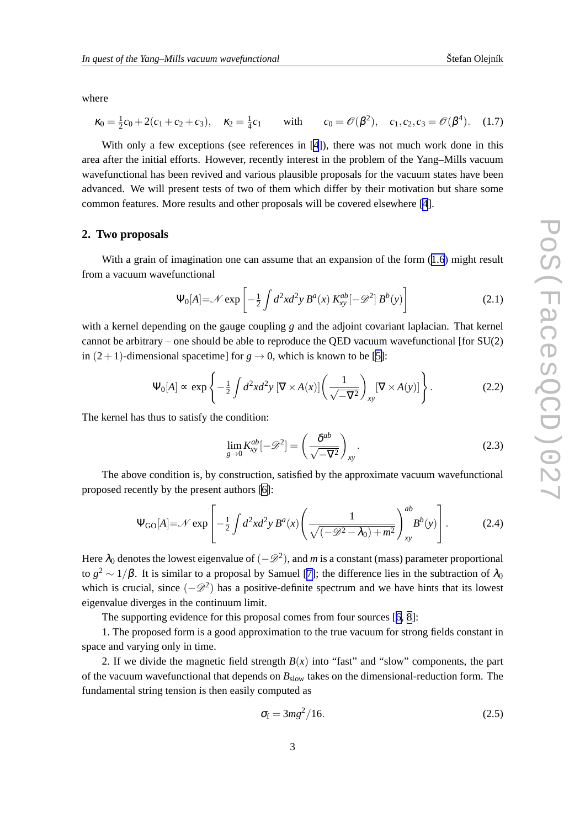<span id="page-2-0"></span>where

$$
\kappa_0 = \frac{1}{2}c_0 + 2(c_1 + c_2 + c_3), \quad \kappa_2 = \frac{1}{4}c_1 \quad \text{with} \quad c_0 = \mathcal{O}(\beta^2), \quad c_1, c_2, c_3 = \mathcal{O}(\beta^4). \quad (1.7)
$$

With only a few exceptions (see references in [[4](#page-9-0)]), there was not much work done in this area after the initial efforts. However, recently interest in the problem of the Yang–Mills vacuum wavefunctional has been revived and various plausible proposals for the vacuum states have been advanced. We will present tests of two of them which differ by their motivation but share some common features. More results and other proposals will be covered elsewhere [[4](#page-9-0)].

#### **2. Two proposals**

With a grain of imagination one can assume that an expansion of the form  $(1.6)$  $(1.6)$  $(1.6)$  might result from a vacuum wavefunctional

$$
\Psi_0[A] = \mathcal{N} \exp\left[-\frac{1}{2} \int d^2x d^2y B^a(x) K_{xy}^{ab}[-\mathcal{D}^2] B^b(y)\right]
$$
 (2.1)

with a kernel depending on the gauge coupling *g* and the adjoint covariant laplacian. That kernel cannot be arbitrary – one should be able to reproduce the QED vacuum wavefunctional [for  $SU(2)$ ] in  $(2+1)$ -dimensional spacetime] for  $g \rightarrow 0$ , which is known to be [\[5\]](#page-9-0):

$$
\Psi_0[A] \propto \exp\left\{-\frac{1}{2} \int d^2x d^2y \left[\nabla \times A(x)\right] \left(\frac{1}{\sqrt{-V^2}}\right)_{xy} \left[\nabla \times A(y)\right]\right\}.
$$
 (2.2)

The kernel has thus to satisfy the condition:

$$
\lim_{g \to 0} K_{xy}^{ab}[-\mathscr{D}^2] = \left(\frac{\delta^{ab}}{\sqrt{-\nabla^2}}\right)_{xy}.
$$
\n(2.3)

The above condition is, by construction, satisfied by the approximate vacuum wavefunctional proposed recently by the present authors [\[6\]](#page-9-0):

$$
\Psi_{\text{GO}}[A] = \mathcal{N} \exp\left[ -\frac{1}{2} \int d^2x d^2y B^a(x) \left( \frac{1}{\sqrt{(-\mathcal{D}^2 - \lambda_0) + m^2}} \right)_{xy}^{ab} B^b(y) \right].
$$
 (2.4)

Here  $\lambda_0$  denotes the lowest eigenvalue of  $(-\mathscr{D}^2)$ , and *m* is a constant (mass) parameter proportional to  $g^2 \sim 1/\beta$ . It is similar to a proposal by Samuel [\[7\]](#page-9-0); the difference lies in the subtraction of  $\lambda_0$ which is crucial, since  $(-\mathscr{D}^2)$  has a positive-definite spectrum and we have hints that its lowest eigenvalue diverges in the continuum limit.

The supporting evidence for this proposal comes from four sources [[6](#page-9-0), [8](#page-9-0)]:

1. The proposed form is a good approximation to the true vacuum for strong fields constant in space and varying only in time.

2. If we divide the magnetic field strength  $B(x)$  into "fast" and "slow" components, the part of the vacuum wavefunctional that depends on *B*slow takes on the dimensional-reduction form. The fundamental string tension is then easily computed as

$$
\sigma_{\rm f} = 3mg^2/16. \tag{2.5}
$$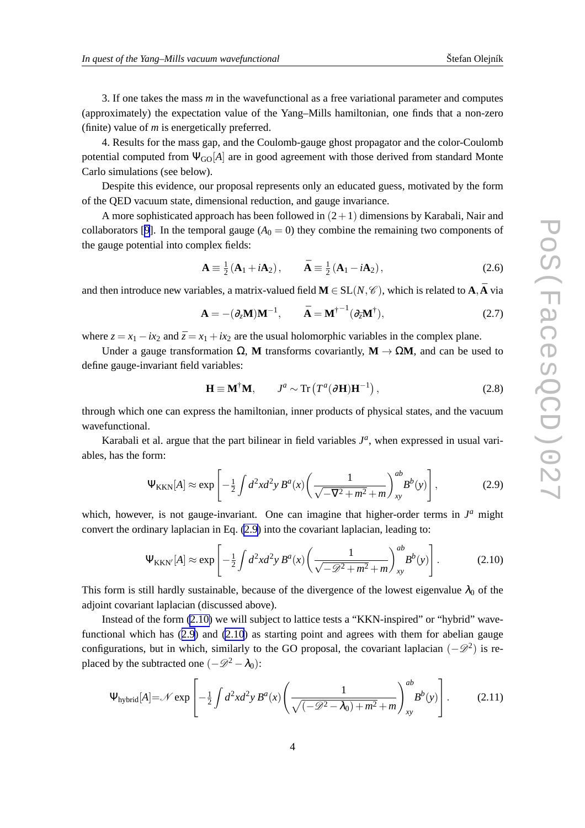<span id="page-3-0"></span>3. If one takes the mass *m* in the wavefunctional as a free variational parameter and computes (approximately) the expectation value of the Yang–Mills hamiltonian, one finds that a non-zero (finite) value of *m* is energetically preferred.

4. Results for the mass gap, and the Coulomb-gauge ghost propagator and the color-Coulomb potential computed from  $\Psi_{\text{GO}}[A]$  are in good agreement with those derived from standard Monte Carlo simulations (see below).

Despite this evidence, our proposal represents only an educated guess, motivated by the form of the QED vacuum state, dimensional reduction, and gauge invariance.

A more sophisticated approach has been followed in  $(2+1)$  dimensions by Karabali, Nair and collaborators [[9](#page-9-0)]. In the temporal gauge  $(A_0 = 0)$  they combine the remaining two components of the gauge potential into complex fields:

$$
\mathbf{A} \equiv \frac{1}{2} \left( \mathbf{A}_1 + i \mathbf{A}_2 \right), \qquad \bar{\mathbf{A}} \equiv \frac{1}{2} \left( \mathbf{A}_1 - i \mathbf{A}_2 \right), \tag{2.6}
$$

and then introduce new variables, a matrix-valued field  $M \in SL(N, \mathscr{C})$ , which is related to  $\mathbf{A}, \mathbf{A}$  via

$$
\mathbf{A} = -(\partial_z \mathbf{M}) \mathbf{M}^{-1}, \qquad \mathbf{\bar{A}} = \mathbf{M}^{\dagger -1} (\partial_{\bar{z}} \mathbf{M}^{\dagger}), \tag{2.7}
$$

where  $z = x_1 - ix_2$  and  $\bar{z} = x_1 + ix_2$  are the usual holomorphic variables in the complex plane.

Under a gauge transformation  $\Omega$ , **M** transforms covariantly, **M**  $\rightarrow \Omega M$ , and can be used to define gauge-invariant field variables:

$$
\mathbf{H} \equiv \mathbf{M}^{\dagger} \mathbf{M}, \qquad J^a \sim \text{Tr}\left(T^a (\partial \mathbf{H}) \mathbf{H}^{-1}\right), \tag{2.8}
$$

through which one can express the hamiltonian, inner products of physical states, and the vacuum wavefunctional.

Karabali et al. argue that the part bilinear in field variables  $J<sup>a</sup>$ , when expressed in usual variables, has the form:

$$
\Psi_{\text{KKN}}[A] \approx \exp\left[-\frac{1}{2}\int d^2x d^2y B^a(x) \left(\frac{1}{\sqrt{-\nabla^2 + m^2} + m}\right)_{xy}^{ab} B^b(y)\right],\tag{2.9}
$$

which, however, is not gauge-invariant. One can imagine that higher-order terms in  $J<sup>a</sup>$  might convert the ordinary laplacian in Eq. (2.9) into the covariant laplacian, leading to:

$$
\Psi_{\text{KKN}'}[A] \approx \exp\left[-\frac{1}{2}\int d^2x d^2y B^a(x) \left(\frac{1}{\sqrt{-\mathcal{D}^2 + m^2} + m}\right)_{xy}^{ab} B^b(y)\right].\tag{2.10}
$$

This form is still hardly sustainable, because of the divergence of the lowest eigenvalue  $\lambda_0$  of the adjoint covariant laplacian (discussed above).

Instead of the form (2.10) we will subject to lattice tests a "KKN-inspired" or "hybrid" wavefunctional which has (2.9) and (2.10) as starting point and agrees with them for abelian gauge configurations, but in which, similarly to the GO proposal, the covariant laplacian  $(-\mathscr{D}^2)$  is replaced by the subtracted one  $(-\mathscr{D}^2 - \lambda_0)$ :

$$
\Psi_{\text{hybrid}}[A] = \mathcal{N} \exp\left[-\frac{1}{2} \int d^2x d^2y B^a(x) \left(\frac{1}{\sqrt{(-\mathcal{D}^2 - \lambda_0) + m^2} + m}\right)_{xy}^{ab} B^b(y)\right].
$$
 (2.11)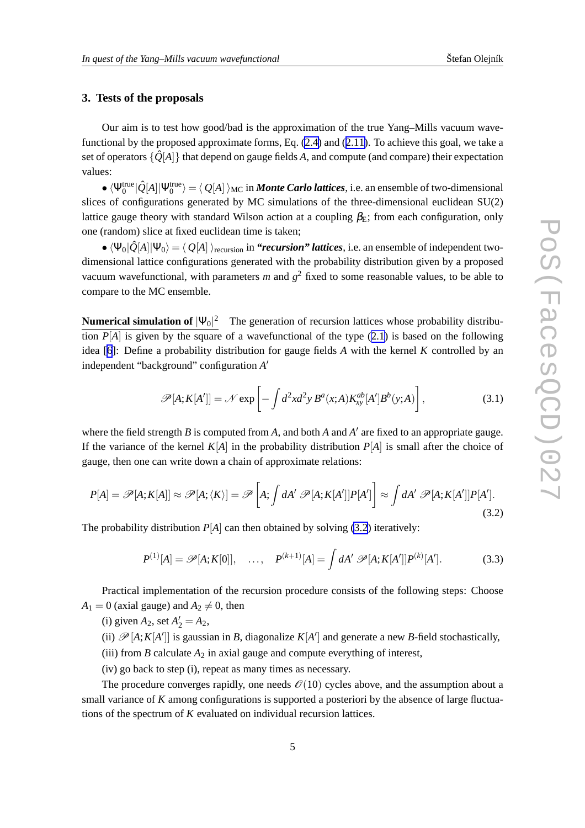# **3. Tests of the proposals**

Our aim is to test how good/bad is the approximation of the true Yang–Mills vacuum wavefunctional by the proposed approximate forms, Eq. [\(2.4\)](#page-2-0) and ([2.11\)](#page-3-0). To achieve this goal, we take a set of operators  $\{\hat{Q}[A]\}$  that depend on gauge fields A, and compute (and compare) their expectation values:

 $\sim \langle \Psi_0^{\text{true}} | \hat{Q}[A] | \Psi_0^{\text{true}} \rangle = \langle Q[A] \rangle_{MC}$  in *Monte Carlo lattices*, i.e. an ensemble of two-dimensional slices of configurations generated by MC simulations of the three-dimensional euclidean SU(2) lattice gauge theory with standard Wilson action at a coupling  $\beta_E$ ; from each configuration, only one (random) slice at fixed euclidean time is taken;

•  $\langle \Psi_0|\hat{Q}[A]|\Psi_0\rangle = \langle Q[A]\rangle_{\text{recursion}}$  in *"recursion" lattices*, i.e. an ensemble of independent twodimensional lattice configurations generated with the probability distribution given by a proposed vacuum wavefunctional, with parameters  $m$  and  $g^2$  fixed to some reasonable values, to be able to compare to the MC ensemble.

**Numerical simulation of**  $|\Psi_0|^2$  The generation of recursion lattices whose probability distribution  $P[A]$  is given by the square of a wavefunctional of the type  $(2.1)$  $(2.1)$  $(2.1)$  is based on the following idea [[6](#page-9-0)]: Define a probability distribution for gauge fields *A* with the kernel *K* controlled by an independent "background" configuration *A* ′

$$
\mathscr{P}[A;K[A']] = \mathscr{N} \exp\left[-\int d^2x d^2y B^a(x;A) K_{xy}^{ab}[A'] B^b(y;A)\right],\tag{3.1}
$$

where the field strength *B* is computed from *A*, and both *A* and  $A'$  are fixed to an appropriate gauge. If the variance of the kernel  $K[A]$  in the probability distribution  $P[A]$  is small after the choice of gauge, then one can write down a chain of approximate relations:

$$
P[A] = \mathscr{P}[A; K[A]] \approx \mathscr{P}[A; \langle K \rangle] = \mathscr{P}\left[A; \int dA' \; \mathscr{P}[A; K[A']] P[A']\right] \approx \int dA' \; \mathscr{P}[A; K[A']] P[A'].
$$
\n(3.2)

The probability distribution  $P[A]$  can then obtained by solving (3.2) iteratively:

$$
P^{(1)}[A] = \mathscr{P}[A; K[0]], \quad \dots, \quad P^{(k+1)}[A] = \int dA' \, \mathscr{P}[A; K[A']] P^{(k)}[A'].
$$
 (3.3)

Practical implementation of the recursion procedure consists of the following steps: Choose  $A_1 = 0$  (axial gauge) and  $A_2 \neq 0$ , then

- (i) given  $A_2$ , set  $A'_2 = A_2$ ,
- (ii)  $\mathscr{P}[A;K[A']]$  is gaussian in *B*, diagonalize  $K[A']$  and generate a new *B*-field stochastically,
- (iii) from *B* calculate  $A_2$  in axial gauge and compute everything of interest,
- (iv) go back to step (i), repeat as many times as necessary.

The procedure converges rapidly, one needs  $\mathcal{O}(10)$  cycles above, and the assumption about a small variance of *K* among configurations is supported a posteriori by the absence of large fluctuations of the spectrum of *K* evaluated on individual recursion lattices.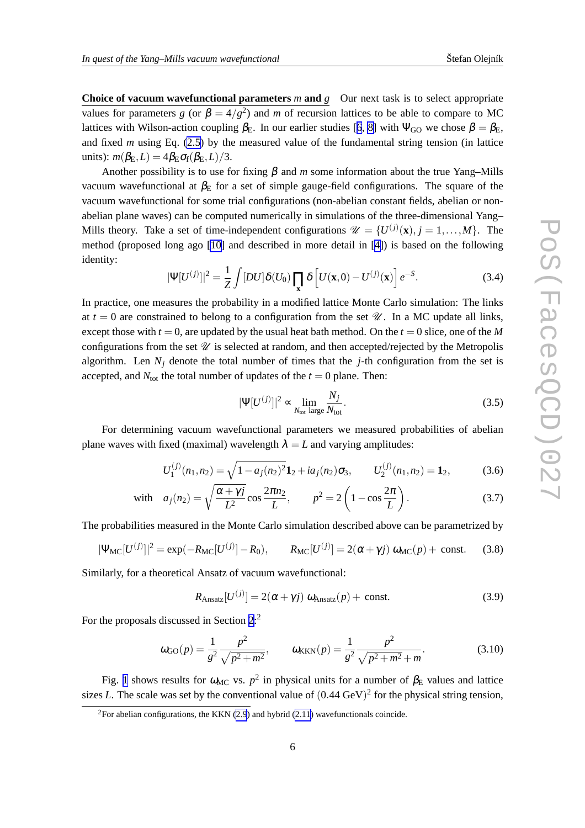<span id="page-5-0"></span>**Choice of vacuum wavefunctional parameters**  $m$  **and**  $g$  **Our next task is to select appropriate** values for parameters *g* (or  $\beta = 4/g^2$ ) and *m* of recursion lattices to be able to compare to MC lattices with Wilson-action coupling  $\beta_E$ . In our earlier studies [[6](#page-9-0), [8\]](#page-9-0) with  $\Psi_{GO}$  we chose  $\beta = \beta_E$ , and fixed *m* using Eq. [\(2.5\)](#page-2-0) by the measured value of the fundamental string tension (in lattice units):  $m(\beta_{\text{E}}, L) = 4\beta_{\text{E}}\sigma_{\text{f}}(\beta_{\text{E}}, L)/3$ .

Another possibility is to use for fixing  $\beta$  and *m* some information about the true Yang–Mills vacuum wavefunctional at  $β$ <sub>E</sub> for a set of simple gauge-field configurations. The square of the vacuum wavefunctional for some trial configurations (non-abelian constant fields, abelian or nonabelian plane waves) can be computed numerically in simulations of the three-dimensional Yang– Mills theory. Take a set of time-independent configurations  $\mathcal{U} = \{U^{(j)}(\mathbf{x}), j = 1, ..., M\}$ . The method (proposed long ago [\[10](#page-9-0)] and described in more detail in [\[4\]](#page-9-0)) is based on the following identity:

$$
|\Psi[U^{(j)}]|^2 = \frac{1}{Z} \int [DU] \delta(U_0) \prod_{\mathbf{x}} \delta \left[ U(\mathbf{x}, 0) - U^{(j)}(\mathbf{x}) \right] e^{-S}.
$$
 (3.4)

In practice, one measures the probability in a modified lattice Monte Carlo simulation: The links at  $t = 0$  are constrained to belong to a configuration from the set  $\mathcal{U}$ . In a MC update all links, except those with  $t = 0$ , are updated by the usual heat bath method. On the  $t = 0$  slice, one of the *M* configurations from the set  $\mathcal U$  is selected at random, and then accepted/rejected by the Metropolis algorithm. Len  $N_i$  denote the total number of times that the *j*-th configuration from the set is accepted, and  $N_{\text{tot}}$  the total number of updates of the  $t = 0$  plane. Then:

$$
|\Psi[U^{(j)}]|^2 \propto \lim_{N_{\text{tot}} \text{ large}} \frac{N_j}{N_{\text{tot}}}.\tag{3.5}
$$

For determining vacuum wavefunctional parameters we measured probabilities of abelian plane waves with fixed (maximal) wavelength  $\lambda = L$  and varying amplitudes:

$$
U_1^{(j)}(n_1, n_2) = \sqrt{1 - a_j(n_2)^2} \mathbf{1}_2 + i a_j(n_2) \sigma_3, \qquad U_2^{(j)}(n_1, n_2) = \mathbf{1}_2,\tag{3.6}
$$

with 
$$
a_j(n_2) = \sqrt{\frac{\alpha + \gamma j}{L^2}} \cos \frac{2\pi n_2}{L}, \qquad p^2 = 2\left(1 - \cos \frac{2\pi}{L}\right).
$$
 (3.7)

The probabilities measured in the Monte Carlo simulation described above can be parametrized by

$$
|\Psi_{\rm MC}[U^{(j)}]|^2 = \exp(-R_{\rm MC}[U^{(j)}] - R_0), \qquad R_{\rm MC}[U^{(j)}] = 2(\alpha + \gamma j) \omega_{\rm MC}(p) + \text{const.} \tag{3.8}
$$

Similarly, for a theoretical Ansatz of vacuum wavefunctional:

$$
R_{\text{Ansatz}}[U^{(j)}] = 2(\alpha + \gamma j) \omega_{\text{Ansatz}}(p) + \text{const.}
$$
 (3.9)

For the proposals discussed in Section [2](#page-2-0):<sup>2</sup>

$$
\omega_{\text{GO}}(p) = \frac{1}{g^2} \frac{p^2}{\sqrt{p^2 + m^2}}, \qquad \omega_{\text{KKN}}(p) = \frac{1}{g^2} \frac{p^2}{\sqrt{p^2 + m^2} + m}.
$$
 (3.10)

Fig. [1](#page-6-0) shows results for  $\omega_{MC}$  vs.  $p^2$  in physical units for a number of  $\beta_E$  values and lattice sizes *L*. The scale was set by the conventional value of  $(0.44 \text{ GeV})^2$  for the physical string tension,

<sup>&</sup>lt;sup>2</sup>For abelian configurations, the KKN ([2.9](#page-3-0)) and hybrid [\(2.11\)](#page-3-0) wavefunctionals coincide.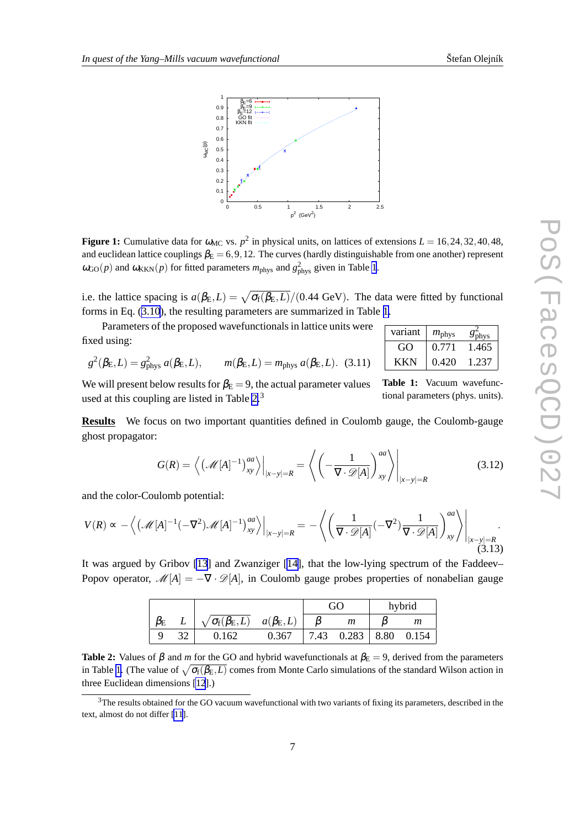2 phys

GO  $\big| 0.771 \big| 1.465$ KKN 0.420 1.237

**Table 1:** Vacuum wavefunctional parameters (phys. units).

<span id="page-6-0"></span>

**Figure 1:** Cumulative data for  $\omega_{MC}$  vs.  $p^2$  in physical units, on lattices of extensions  $L = 16, 24, 32, 40, 48$ , and euclidean lattice couplings  $\beta_E = 6, 9, 12$ . The curves (hardly distinguishable from one another) represent  $\omega_{\text{GO}}(p)$  and  $\omega_{\text{KKN}}(p)$  for fitted parameters  $m_{\text{phys}}$  and  $g_{\text{phys}}^2$  given in Table 1.

i.e. the lattice spacing is  $a(\beta_{\rm E}, L) = \sqrt{\sigma_{\rm f}(\beta_{\rm E}, L)}/(0.44 \text{ GeV})$ . The data were fitted by functional forms in Eq. ([3.10](#page-5-0)), the resulting parameters are summarized in Table 1.

Parameters of the proposed wavefunctionals in lattice units were  $\sqrt{\frac{\text{variant}}{\text{w}^2}}$ fixed using:

$$
g^{2}(\beta_{\mathcal{E}},L)=g_{\text{phys}}^{2} a(\beta_{\mathcal{E}},L), \qquad m(\beta_{\mathcal{E}},L)=m_{\text{phys}} a(\beta_{\mathcal{E}},L). \quad (3.11)
$$

We will present below results for  $\beta_{\rm E} = 9$ , the actual parameter values used at this coupling are listed in Table 2.<sup>3</sup>

**Results** We focus on two important quantities defined in Coulomb gauge, the Coulomb-gauge ghost propagator:

$$
G(R) = \left\langle \left( \mathcal{M}[A]^{-1} \right)_{xy}^{aa} \right\rangle \Big|_{|x-y|=R} = \left\langle \left( -\frac{1}{\nabla \cdot \mathcal{D}[A]} \right)_{xy}^{aa} \right\rangle \Big|_{|x-y|=R}
$$
(3.12)

and the color-Coulomb potential:

$$
V(R) \propto -\left\langle \left( \mathcal{M}[A]^{-1}(-\nabla^2) \mathcal{M}[A]^{-1} \right)_{xy}^{aa} \right\rangle \Big|_{|x-y|=R} = -\left\langle \left( \frac{1}{\nabla \cdot \mathcal{D}[A]}(-\nabla^2) \frac{1}{\nabla \cdot \mathcal{D}[A]} \right)_{xy}^{aa} \right\rangle \Big|_{|x-y|=R}.
$$
\n(3.13)

It was argued by Gribov [\[13](#page-9-0)] and Zwanziger [\[14\]](#page-9-0), that the low-lying spectrum of the Faddeev– Popov operator,  $\mathcal{M}[A] = -\nabla \cdot \mathcal{D}[A]$ , in Coulomb gauge probes properties of nonabelian gauge

|    |                                                                    |       | GO |                        | hybrid |                |
|----|--------------------------------------------------------------------|-------|----|------------------------|--------|----------------|
|    | $L \mid \sqrt{\sigma_f(\beta_{\rm E},L)} \quad a(\beta_{\rm E},L)$ |       |    | m                      |        | $\mathfrak{m}$ |
| 32 | 0.162                                                              | 0.367 |    | 7.43 $0.283 \div 8.80$ |        | 0.154          |

**Table 2:** Values of  $\beta$  and *m* for the GO and hybrid wavefunctionals at  $\beta_E = 9$ , derived from the parameters in Table 1. (The value of  $\sqrt{\sigma_f(\beta_{\rm E},L)}$  comes from Monte Carlo simulations of the standard Wilson action in three Euclidean dimensions [\[12](#page-9-0)].)

 $3$ The results obtained for the GO vacuum wavefunctional with two variants of fixing its parameters, described in the text, almost do not differ [\[11](#page-9-0)].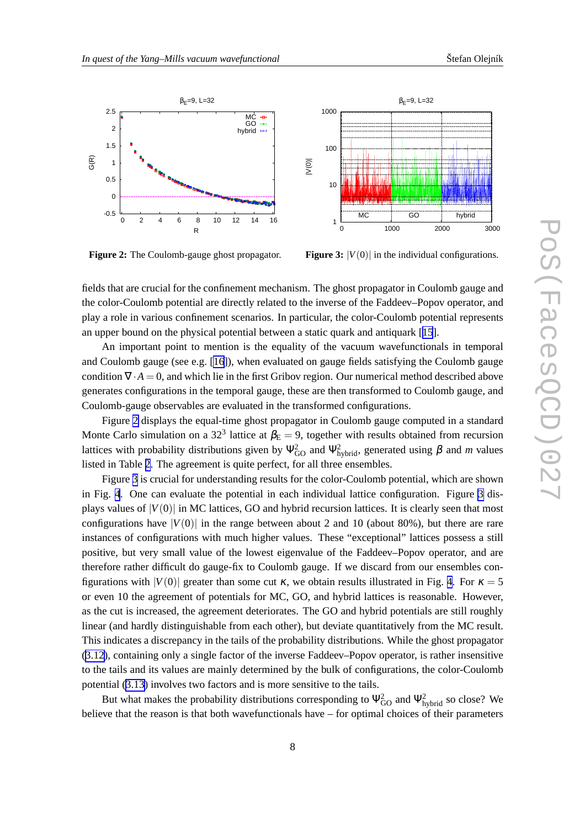

**Figure 2:** The Coulomb-gauge ghost propagator.

**Figure 3:**  $|V(0)|$  in the individual configurations.

fields that are crucial for the confinement mechanism. The ghost propagator in Coulomb gauge and the color-Coulomb potential are directly related to the inverse of the Faddeev–Popov operator, and play a role in various confinement scenarios. In particular, the color-Coulomb potential represents an upper bound on the physical potential between a static quark and antiquark [[15](#page-9-0)].

An important point to mention is the equality of the vacuum wavefunctionals in temporal and Coulomb gauge (see e.g.  $[16]$  $[16]$ ), when evaluated on gauge fields satisfying the Coulomb gauge condition  $\nabla \cdot A = 0$ , and which lie in the first Gribov region. Our numerical method described above generates configurations in the temporal gauge, these are then transformed to Coulomb gauge, and Coulomb-gauge observables are evaluated in the transformed configurations.

Figure 2 displays the equal-time ghost propagator in Coulomb gauge computed in a standard Monte Carlo simulation on a 32<sup>3</sup> lattice at  $\beta_{\rm E} = 9$ , together with results obtained from recursion lattices with probability distributions given by  $\Psi_{GO}^2$  and  $\Psi_{hybrid}^2$ , generated using  $\beta$  and  $m$  values listed in Table [2](#page-6-0). The agreement is quite perfect, for all three ensembles.

Figure 3 is crucial for understanding results for the color-Coulomb potential, which are shown in Fig. [4](#page-8-0). One can evaluate the potential in each individual lattice configuration. Figure 3 displays values of  $|V(0)|$  in MC lattices, GO and hybrid recursion lattices. It is clearly seen that most configurations have  $|V(0)|$  in the range between about 2 and 10 (about 80%), but there are rare instances of configurations with much higher values. These "exceptional" lattices possess a still positive, but very small value of the lowest eigenvalue of the Faddeev–Popov operator, and are therefore rather difficult do gauge-fix to Coulomb gauge. If we discard from our ensembles configurations with  $|V(0)|$  greater than some cut  $\kappa$ , we obtain results illustrated in Fig. [4](#page-8-0). For  $\kappa = 5$ or even 10 the agreement of potentials for MC, GO, and hybrid lattices is reasonable. However, as the cut is increased, the agreement deteriorates. The GO and hybrid potentials are still roughly linear (and hardly distinguishable from each other), but deviate quantitatively from the MC result. This indicates a discrepancy in the tails of the probability distributions. While the ghost propagator ([3.12](#page-6-0)), containing only a single factor of the inverse Faddeev–Popov operator, is rather insensitive to the tails and its values are mainly determined by the bulk of configurations, the color-Coulomb potential ([3.13\)](#page-6-0) involves two factors and is more sensitive to the tails.

But what makes the probability distributions corresponding to  $\Psi_{GO}^2$  and  $\Psi_{hybrid}^2$  so close? We believe that the reason is that both wavefunctionals have – for optimal choices of their parameters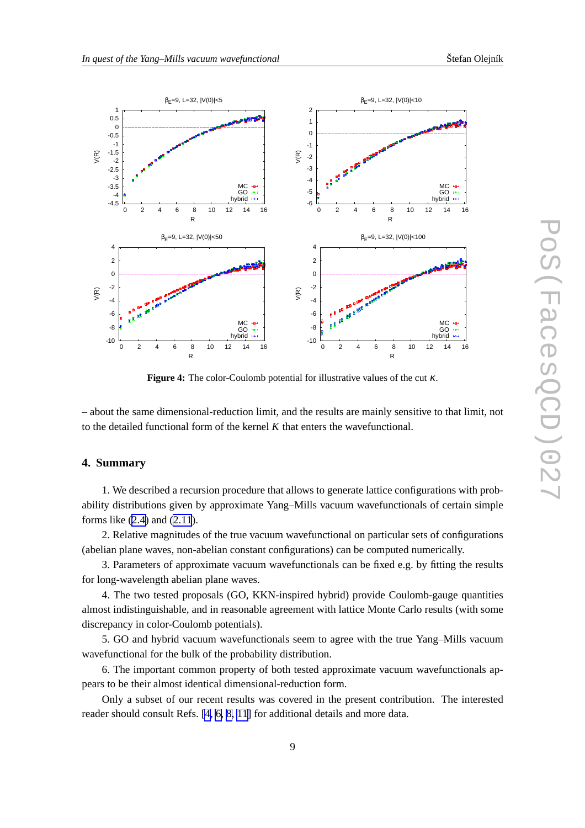<span id="page-8-0"></span>

**Figure 4:** The color-Coulomb potential for illustrative values of the cut <sup>κ</sup>.

– about the same dimensional-reduction limit, and the results are mainly sensitive to that limit, not to the detailed functional form of the kernel *K* that enters the wavefunctional.

#### **4. Summary**

1. We described a recursion procedure that allows to generate lattice configurations with probability distributions given by approximate Yang–Mills vacuum wavefunctionals of certain simple forms like [\(2.4\)](#page-2-0) and [\(2.11](#page-3-0)).

2. Relative magnitudes of the true vacuum wavefunctional on particular sets of configurations (abelian plane waves, non-abelian constant configurations) can be computed numerically.

3. Parameters of approximate vacuum wavefunctionals can be fixed e.g. by fitting the results for long-wavelength abelian plane waves.

4. The two tested proposals (GO, KKN-inspired hybrid) provide Coulomb-gauge quantities almost indistinguishable, and in reasonable agreement with lattice Monte Carlo results (with some discrepancy in color-Coulomb potentials).

5. GO and hybrid vacuum wavefunctionals seem to agree with the true Yang–Mills vacuum wavefunctional for the bulk of the probability distribution.

6. The important common property of both tested approximate vacuum wavefunctionals appears to be their almost identical dimensional-reduction form.

Only a subset of our recent results was covered in the present contribution. The interested reader should consult Refs. [\[4, 6, 8, 11](#page-9-0)] for additional details and more data.